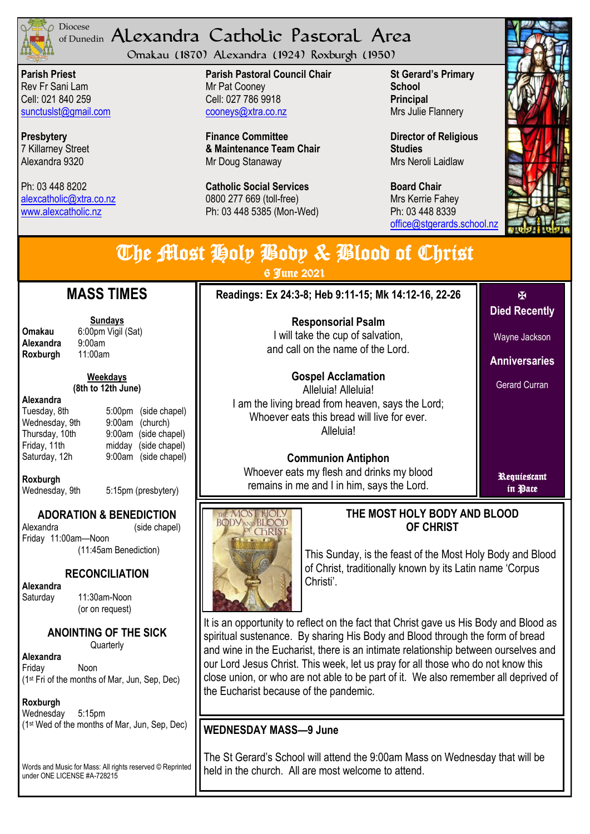

### <sup>Diocese</sup> Alexandra Catholic Pastoral Area of Dunedin

Omakau (1870) Alexandra (1924) Roxburgh (1950)

**Parish Priest** Rev Fr Sani Lam Cell: 021 840 259 [sunctuslst@gmail.com](mailto:mailto:sunctuslst@gmail.com)

**Presbytery** 7 Killarney Street Alexandra 9320

Ph: 03 448 8202 [alexcatholic@xtra.co.nz](mailto:mailto:alexcatholic@xtra.co.nz) www.alexcatholic.nz

**Parish Pastoral Council Chair** Mr Pat Cooney Cell: 027 786 9918 cooneys@xtra.co.nz

**Finance Committee & Maintenance Team Chair** Mr Doug Stanaway

**Catholic Social Services**  0800 277 669 (toll-free) Ph: 03 448 5385 (Mon-Wed) **St Gerard's Primary School Principal** Mrs Julie Flannery

**Director of Religious Studies** Mrs Neroli Laidlaw

**Board Chair** Mrs Kerrie Fahey Ph: 03 448 8339 [office@stgerards.school.nz](mailto:mailto:office@stgerards.school.nz)



| The Most Holp Body & Blood of Christ<br>6 June 2021                                        |                                                                                                                      |                        |  |  |
|--------------------------------------------------------------------------------------------|----------------------------------------------------------------------------------------------------------------------|------------------------|--|--|
| <b>TIMES</b>                                                                               | Readings: Ex 24:3-8; Heb 9:11-15; Mk 14:12-16, 22-26                                                                 | М                      |  |  |
| <u>days</u>                                                                                | <b>Responsorial Psalm</b>                                                                                            | <b>Died Recently</b>   |  |  |
| Vigil (Sat)                                                                                | I will take the cup of salvation,<br>and call on the name of the Lord.                                               | Wayne Jackson          |  |  |
|                                                                                            |                                                                                                                      | <b>Anniversaries</b>   |  |  |
| <u>days:</u><br>th June)                                                                   | <b>Gospel Acclamation</b><br>Alleluia! Alleluia!                                                                     | <b>Gerard Curran</b>   |  |  |
| 5:00pm (side chapel)<br>9:00am<br>(church)<br>9:00am (side chapel)<br>midday (side chapel) | I am the living bread from heaven, says the Lord;<br>Whoever eats this bread will live for ever.<br>Alleluia!        |                        |  |  |
| 9:00am (side chapel)<br>5:15nm (preshytery)                                                | <b>Communion Antiphon</b><br>Whoever eats my flesh and drinks my blood<br>remains in me and I in him, says the Lord. | Requiestant<br>in Pace |  |  |



## **THE MOST HOLY BODY AND BLOOD OF CHRIST**

This Sunday, is the feast of the Most Holy Body and Blood of Christ, traditionally known by its Latin name 'Corpus Christi'.

It is an opportunity to reflect on the fact that Christ gave us His Body and Blood as spiritual sustenance. By sharing His Body and Blood through the form of bread and wine in the Eucharist, there is an intimate relationship between ourselves and our Lord Jesus Christ. This week, let us pray for all those who do not know this close union, or who are not able to be part of it. We also remember all deprived of the Eucharist because of the pandemic.

# **WEDNESDAY MASS—9 June**

The St Gerard's School will attend the 9:00am Mass on Wednesday that will be held in the church. All are most welcome to attend.

**Sunday**<br>6:00pm **Omakau** 6:00pm<br>**Alexandra** 9:00am **Alexandra** 9:00am<br>**Roxburgh** 11:00am **Roxburgh** 

**MASS** 

#### **Week (8th to 12)**

#### **Alexandra**

| Tuesday, 8th   | 5:00pm (side chapel) |
|----------------|----------------------|
| Wednesday, 9th | 9:00am (church)      |
| Thursday, 10th | 9:00am (side chapel) |
| Friday, 11th   | midday (side chapel) |
| Saturday, 12h  | 9:00am (side chapel) |
|                |                      |

**Roxburgh**

Wednesday, 9th 5:15pm (presbytery)

## **ADORATION & BENEDICTION**

Alexandra (side chapel) Friday 11:00am—Noon (11:45am Benediction)

**RECONCILIATION**

**Alexandra** 

Saturday 11:30am-Noon (or on request)

# **ANOINTING OF THE SICK**

**Quarterly** 

Friday Noon (1st Fri of the months of Mar, Jun, Sep, Dec)

### **Roxburgh**

**Alexandra**

Wednesday 5:15pm (1st Wed of the months of Mar, Jun, Sep, Dec)

Words and Music for Mass: All rights reserved © Reprinted under ONE LICENSE #A-728215